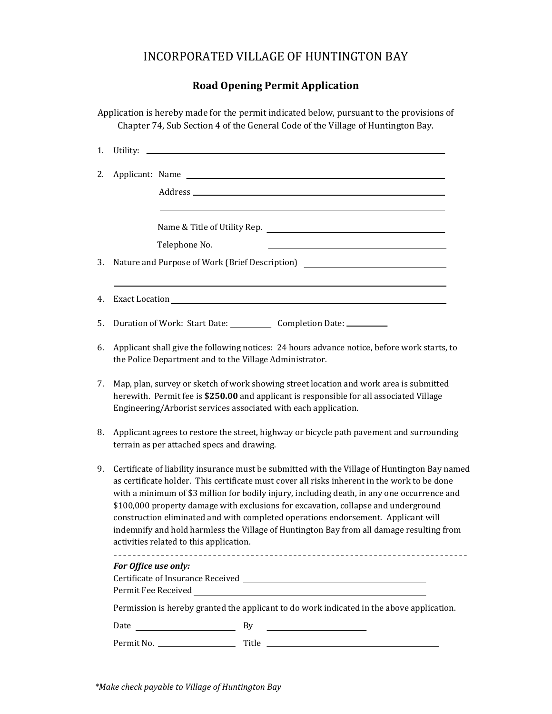# INCORPORATED VILLAGE OF HUNTINGTON BAY

## **Road Opening Permit Application**

Application is hereby made for the permit indicated below, pursuant to the provisions of Chapter 74, Sub Section 4 of the General Code of the Village of Huntington Bay.

| 1. |                                                                                                                                                                                                                                                                                                                                                                                                                                                                                                                                                                                                                |                                                                  |                                                      |  |  |  |
|----|----------------------------------------------------------------------------------------------------------------------------------------------------------------------------------------------------------------------------------------------------------------------------------------------------------------------------------------------------------------------------------------------------------------------------------------------------------------------------------------------------------------------------------------------------------------------------------------------------------------|------------------------------------------------------------------|------------------------------------------------------|--|--|--|
| 2. |                                                                                                                                                                                                                                                                                                                                                                                                                                                                                                                                                                                                                | Applicant: Name<br>Name & Title of Utility Rep.<br>Telephone No. |                                                      |  |  |  |
|    |                                                                                                                                                                                                                                                                                                                                                                                                                                                                                                                                                                                                                |                                                                  |                                                      |  |  |  |
|    |                                                                                                                                                                                                                                                                                                                                                                                                                                                                                                                                                                                                                |                                                                  |                                                      |  |  |  |
|    |                                                                                                                                                                                                                                                                                                                                                                                                                                                                                                                                                                                                                |                                                                  |                                                      |  |  |  |
| З. | Nature and Purpose of Work (Brief Description)                                                                                                                                                                                                                                                                                                                                                                                                                                                                                                                                                                 |                                                                  |                                                      |  |  |  |
| 4. |                                                                                                                                                                                                                                                                                                                                                                                                                                                                                                                                                                                                                |                                                                  |                                                      |  |  |  |
| 5. | Duration of Work: Start Date: Completion Date: _______                                                                                                                                                                                                                                                                                                                                                                                                                                                                                                                                                         |                                                                  |                                                      |  |  |  |
| 6. | Applicant shall give the following notices: 24 hours advance notice, before work starts, to<br>the Police Department and to the Village Administrator.                                                                                                                                                                                                                                                                                                                                                                                                                                                         |                                                                  |                                                      |  |  |  |
| 7. | Map, plan, survey or sketch of work showing street location and work area is submitted<br>herewith. Permit fee is \$250.00 and applicant is responsible for all associated Village<br>Engineering/Arborist services associated with each application.                                                                                                                                                                                                                                                                                                                                                          |                                                                  |                                                      |  |  |  |
| 8. | Applicant agrees to restore the street, highway or bicycle path pavement and surrounding<br>terrain as per attached specs and drawing.                                                                                                                                                                                                                                                                                                                                                                                                                                                                         |                                                                  |                                                      |  |  |  |
| 9. | Certificate of liability insurance must be submitted with the Village of Huntington Bay named<br>as certificate holder. This certificate must cover all risks inherent in the work to be done<br>with a minimum of \$3 million for bodily injury, including death, in any one occurrence and<br>\$100,000 property damage with exclusions for excavation, collapse and underground<br>construction eliminated and with completed operations endorsement. Applicant will<br>indemnify and hold harmless the Village of Huntington Bay from all damage resulting from<br>activities related to this application. |                                                                  |                                                      |  |  |  |
|    | For Office use only:                                                                                                                                                                                                                                                                                                                                                                                                                                                                                                                                                                                           |                                                                  |                                                      |  |  |  |
|    | Permission is hereby granted the applicant to do work indicated in the above application.                                                                                                                                                                                                                                                                                                                                                                                                                                                                                                                      |                                                                  |                                                      |  |  |  |
|    | Date                                                                                                                                                                                                                                                                                                                                                                                                                                                                                                                                                                                                           | <u>and the state of the state of the state</u>                   | By<br><u> 1989 - Andrea State Barbara, politik e</u> |  |  |  |
|    |                                                                                                                                                                                                                                                                                                                                                                                                                                                                                                                                                                                                                |                                                                  |                                                      |  |  |  |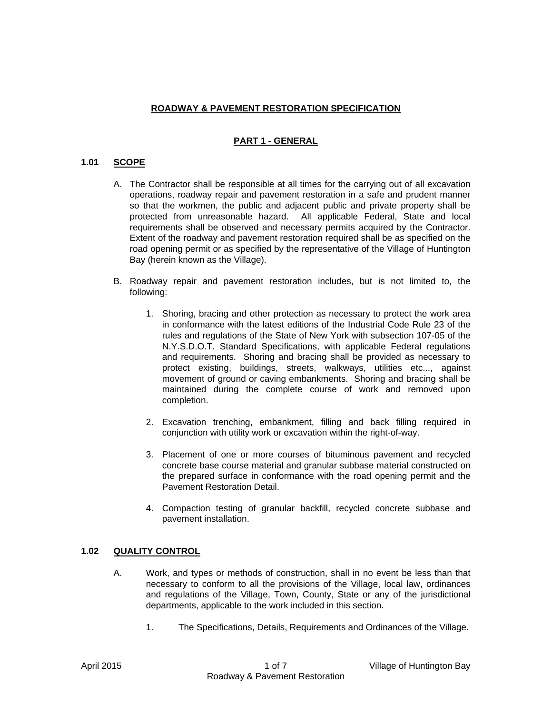## **ROADWAY & PAVEMENT RESTORATION SPECIFICATION**

## **PART 1 - GENERAL**

## **1.01 SCOPE**

- A. The Contractor shall be responsible at all times for the carrying out of all excavation operations, roadway repair and pavement restoration in a safe and prudent manner so that the workmen, the public and adjacent public and private property shall be protected from unreasonable hazard. All applicable Federal, State and local requirements shall be observed and necessary permits acquired by the Contractor. Extent of the roadway and pavement restoration required shall be as specified on the road opening permit or as specified by the representative of the Village of Huntington Bay (herein known as the Village).
- B. Roadway repair and pavement restoration includes, but is not limited to, the following:
	- 1. Shoring, bracing and other protection as necessary to protect the work area in conformance with the latest editions of the Industrial Code Rule 23 of the rules and regulations of the State of New York with subsection 107-05 of the N.Y.S.D.O.T. Standard Specifications, with applicable Federal regulations and requirements. Shoring and bracing shall be provided as necessary to protect existing, buildings, streets, walkways, utilities etc..., against movement of ground or caving embankments. Shoring and bracing shall be maintained during the complete course of work and removed upon completion.
	- 2. Excavation trenching, embankment, filling and back filling required in conjunction with utility work or excavation within the right-of-way.
	- 3. Placement of one or more courses of bituminous pavement and recycled concrete base course material and granular subbase material constructed on the prepared surface in conformance with the road opening permit and the Pavement Restoration Detail.
	- 4. Compaction testing of granular backfill, recycled concrete subbase and pavement installation.

#### **1.02 QUALITY CONTROL**

- A. Work, and types or methods of construction, shall in no event be less than that necessary to conform to all the provisions of the Village, local law, ordinances and regulations of the Village, Town, County, State or any of the jurisdictional departments, applicable to the work included in this section.
	- 1. The Specifications, Details, Requirements and Ordinances of the Village.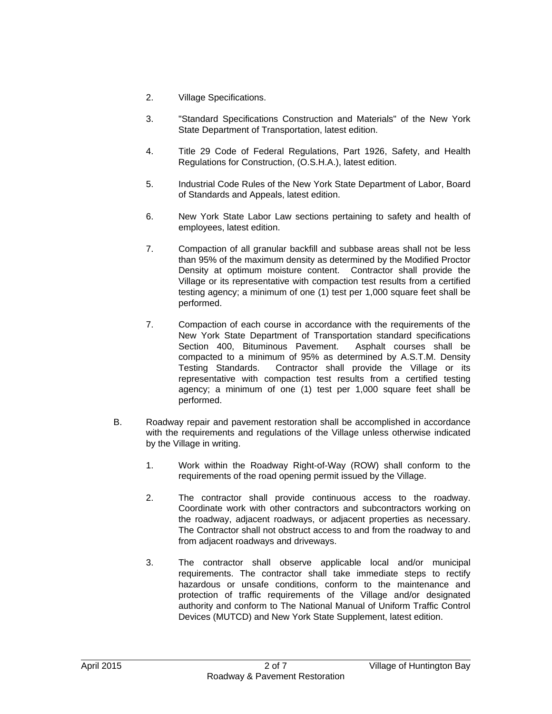- 2. Village Specifications.
- 3. "Standard Specifications Construction and Materials" of the New York State Department of Transportation, latest edition.
- 4. Title 29 Code of Federal Regulations, Part 1926, Safety, and Health Regulations for Construction, (O.S.H.A.), latest edition.
- 5. Industrial Code Rules of the New York State Department of Labor, Board of Standards and Appeals, latest edition.
- 6. New York State Labor Law sections pertaining to safety and health of employees, latest edition.
- 7. Compaction of all granular backfill and subbase areas shall not be less than 95% of the maximum density as determined by the Modified Proctor Density at optimum moisture content. Contractor shall provide the Village or its representative with compaction test results from a certified testing agency; a minimum of one (1) test per 1,000 square feet shall be performed.
- 7. Compaction of each course in accordance with the requirements of the New York State Department of Transportation standard specifications Section 400, Bituminous Pavement. Asphalt courses shall be compacted to a minimum of 95% as determined by A.S.T.M. Density Testing Standards. Contractor shall provide the Village or its representative with compaction test results from a certified testing agency; a minimum of one (1) test per 1,000 square feet shall be performed.
- B. Roadway repair and pavement restoration shall be accomplished in accordance with the requirements and regulations of the Village unless otherwise indicated by the Village in writing.
	- 1. Work within the Roadway Right-of-Way (ROW) shall conform to the requirements of the road opening permit issued by the Village.
	- 2. The contractor shall provide continuous access to the roadway. Coordinate work with other contractors and subcontractors working on the roadway, adjacent roadways, or adjacent properties as necessary. The Contractor shall not obstruct access to and from the roadway to and from adjacent roadways and driveways.
	- 3. The contractor shall observe applicable local and/or municipal requirements. The contractor shall take immediate steps to rectify hazardous or unsafe conditions, conform to the maintenance and protection of traffic requirements of the Village and/or designated authority and conform to The National Manual of Uniform Traffic Control Devices (MUTCD) and New York State Supplement, latest edition.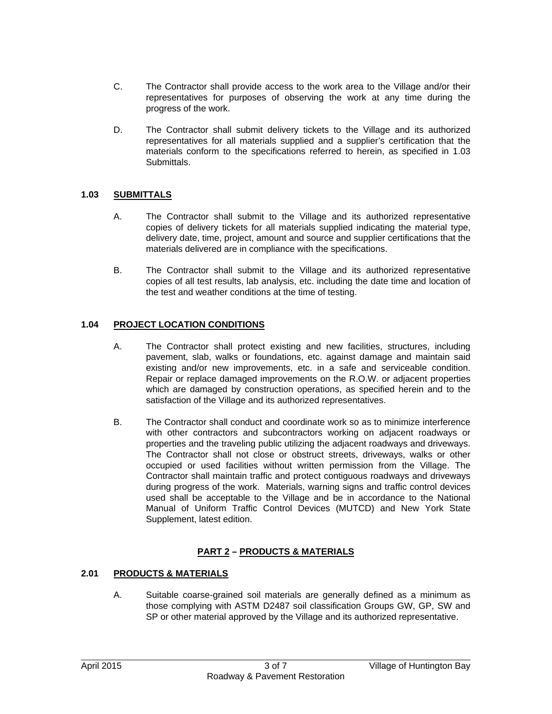- C. The Contractor shall provide access to the work area to the Village and/or their representatives for purposes of observing the work at any time during the progress of the work.
- D. The Contractor shall submit delivery tickets to the Village and its authorized representatives for all materials supplied and a supplier's certification that the materials conform to the specifications referred to herein, as specified in 1.03 Submittals.

## **1.03 SUBMITTALS**

- A. The Contractor shall submit to the Village and its authorized representative copies of delivery tickets for all materials supplied indicating the material type, delivery date, time, project, amount and source and supplier certifications that the materials delivered are in compliance with the specifications.
- B. The Contractor shall submit to the Village and its authorized representative copies of all test results, lab analysis, etc. including the date time and location of the test and weather conditions at the time of testing.

## **1.04 PROJECT LOCATION CONDITIONS**

- A. The Contractor shall protect existing and new facilities, structures, including pavement, slab, walks or foundations, etc. against damage and maintain said existing and/or new improvements, etc. in a safe and serviceable condition. Repair or replace damaged improvements on the R.O.W. or adjacent properties which are damaged by construction operations, as specified herein and to the satisfaction of the Village and its authorized representatives.
- B. The Contractor shall conduct and coordinate work so as to minimize interference with other contractors and subcontractors working on adjacent roadways or properties and the traveling public utilizing the adjacent roadways and driveways. The Contractor shall not close or obstruct streets, driveways, walks or other occupied or used facilities without written permission from the Village. The Contractor shall maintain traffic and protect contiguous roadways and driveways during progress of the work. Materials, warning signs and traffic control devices used shall be acceptable to the Village and be in accordance to the National Manual of Uniform Traffic Control Devices (MUTCD) and New York State Supplement, latest edition.

## **PART 2 – PRODUCTS & MATERIALS**

#### **2.01 PRODUCTS & MATERIALS**

A. Suitable coarse-grained soil materials are generally defined as a minimum as those complying with ASTM D2487 soil classification Groups GW, GP, SW and SP or other material approved by the Village and its authorized representative.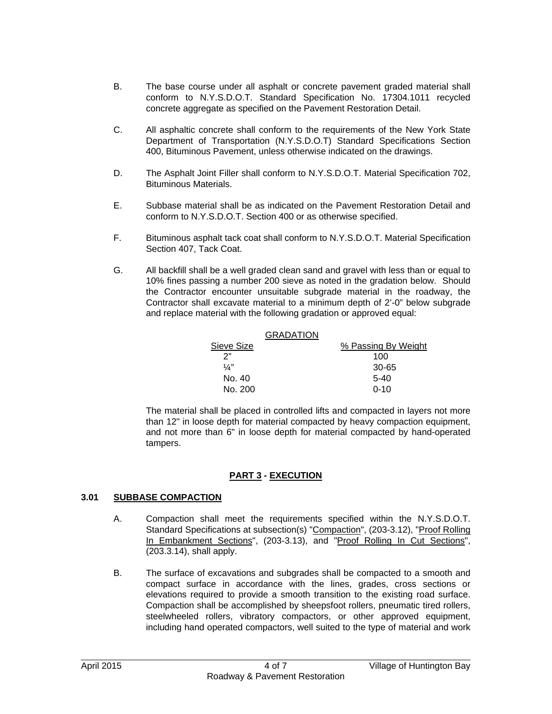- B. The base course under all asphalt or concrete pavement graded material shall conform to N.Y.S.D.O.T. Standard Specification No. 17304.1011 recycled concrete aggregate as specified on the Pavement Restoration Detail.
- C. All asphaltic concrete shall conform to the requirements of the New York State Department of Transportation (N.Y.S.D.O.T) Standard Specifications Section 400, Bituminous Pavement, unless otherwise indicated on the drawings.
- D. The Asphalt Joint Filler shall conform to N.Y.S.D.O.T. Material Specification 702, Bituminous Materials.
- E. Subbase material shall be as indicated on the Pavement Restoration Detail and conform to N.Y.S.D.O.T. Section 400 or as otherwise specified.
- F. Bituminous asphalt tack coat shall conform to N.Y.S.D.O.T. Material Specification Section 407, Tack Coat.
- G. All backfill shall be a well graded clean sand and gravel with less than or equal to 10% fines passing a number 200 sieve as noted in the gradation below. Should the Contractor encounter unsuitable subgrade material in the roadway, the Contractor shall excavate material to a minimum depth of 2'-0" below subgrade and replace material with the following gradation or approved equal:

|            | <b>GRADATION</b> |                     |  |  |  |
|------------|------------------|---------------------|--|--|--|
| Sieve Size |                  | % Passing By Weight |  |  |  |
| ን"         |                  | 100                 |  |  |  |
| 1⁄4"       |                  | 30-65               |  |  |  |
| No. 40     |                  | $5-40$              |  |  |  |
| No. 200    |                  | $0 - 10$            |  |  |  |
|            |                  |                     |  |  |  |

The material shall be placed in controlled lifts and compacted in layers not more than 12" in loose depth for material compacted by heavy compaction equipment, and not more than 6" in loose depth for material compacted by hand-operated tampers.

## **PART 3 - EXECUTION**

#### **3.01 SUBBASE COMPACTION**

- A. Compaction shall meet the requirements specified within the N.Y.S.D.O.T. Standard Specifications at subsection(s) "Compaction", (203-3.12), "Proof Rolling In Embankment Sections", (203-3.13), and "Proof Rolling In Cut Sections", (203.3.14), shall apply.
- B. The surface of excavations and subgrades shall be compacted to a smooth and compact surface in accordance with the lines, grades, cross sections or elevations required to provide a smooth transition to the existing road surface. Compaction shall be accomplished by sheepsfoot rollers, pneumatic tired rollers, steelwheeled rollers, vibratory compactors, or other approved equipment, including hand operated compactors, well suited to the type of material and work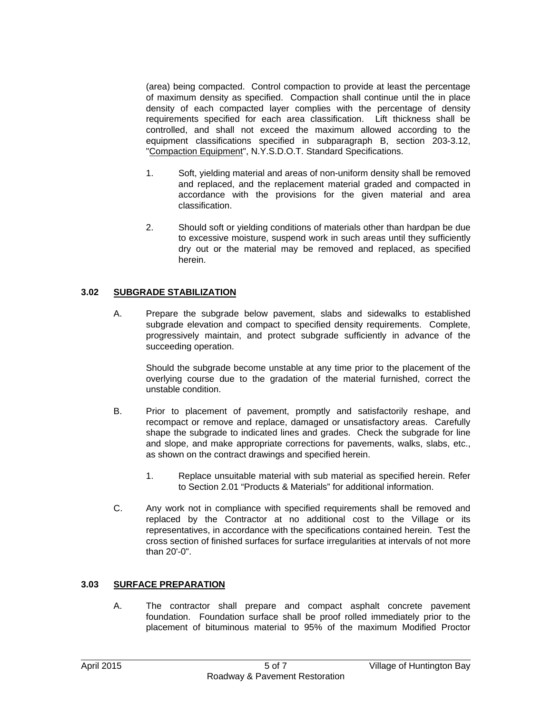(area) being compacted. Control compaction to provide at least the percentage of maximum density as specified. Compaction shall continue until the in place density of each compacted layer complies with the percentage of density requirements specified for each area classification. Lift thickness shall be controlled, and shall not exceed the maximum allowed according to the equipment classifications specified in subparagraph B, section 203-3.12, "Compaction Equipment", N.Y.S.D.O.T. Standard Specifications.

- 1. Soft, yielding material and areas of non-uniform density shall be removed and replaced, and the replacement material graded and compacted in accordance with the provisions for the given material and area classification.
- 2. Should soft or yielding conditions of materials other than hardpan be due to excessive moisture, suspend work in such areas until they sufficiently dry out or the material may be removed and replaced, as specified herein.

## **3.02 SUBGRADE STABILIZATION**

 A. Prepare the subgrade below pavement, slabs and sidewalks to established subgrade elevation and compact to specified density requirements. Complete, progressively maintain, and protect subgrade sufficiently in advance of the succeeding operation.

 Should the subgrade become unstable at any time prior to the placement of the overlying course due to the gradation of the material furnished, correct the unstable condition.

- B. Prior to placement of pavement, promptly and satisfactorily reshape, and recompact or remove and replace, damaged or unsatisfactory areas. Carefully shape the subgrade to indicated lines and grades. Check the subgrade for line and slope, and make appropriate corrections for pavements, walks, slabs, etc., as shown on the contract drawings and specified herein.
	- 1. Replace unsuitable material with sub material as specified herein. Refer to Section 2.01 "Products & Materials" for additional information.
- C. Any work not in compliance with specified requirements shall be removed and replaced by the Contractor at no additional cost to the Village or its representatives, in accordance with the specifications contained herein. Test the cross section of finished surfaces for surface irregularities at intervals of not more than 20'-0".

#### **3.03 SURFACE PREPARATION**

 A. The contractor shall prepare and compact asphalt concrete pavement foundation. Foundation surface shall be proof rolled immediately prior to the placement of bituminous material to 95% of the maximum Modified Proctor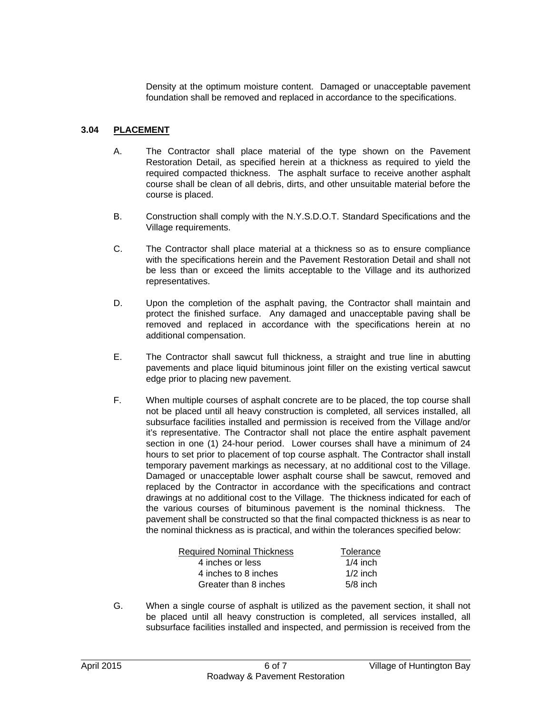Density at the optimum moisture content. Damaged or unacceptable pavement foundation shall be removed and replaced in accordance to the specifications.

#### **3.04 PLACEMENT**

- A. The Contractor shall place material of the type shown on the Pavement Restoration Detail, as specified herein at a thickness as required to yield the required compacted thickness. The asphalt surface to receive another asphalt course shall be clean of all debris, dirts, and other unsuitable material before the course is placed.
- B. Construction shall comply with the N.Y.S.D.O.T. Standard Specifications and the Village requirements.
- C. The Contractor shall place material at a thickness so as to ensure compliance with the specifications herein and the Pavement Restoration Detail and shall not be less than or exceed the limits acceptable to the Village and its authorized representatives.
- D. Upon the completion of the asphalt paving, the Contractor shall maintain and protect the finished surface. Any damaged and unacceptable paving shall be removed and replaced in accordance with the specifications herein at no additional compensation.
- E. The Contractor shall sawcut full thickness, a straight and true line in abutting pavements and place liquid bituminous joint filler on the existing vertical sawcut edge prior to placing new pavement.
- F. When multiple courses of asphalt concrete are to be placed, the top course shall not be placed until all heavy construction is completed, all services installed, all subsurface facilities installed and permission is received from the Village and/or it's representative. The Contractor shall not place the entire asphalt pavement section in one (1) 24-hour period. Lower courses shall have a minimum of 24 hours to set prior to placement of top course asphalt. The Contractor shall install temporary pavement markings as necessary, at no additional cost to the Village. Damaged or unacceptable lower asphalt course shall be sawcut, removed and replaced by the Contractor in accordance with the specifications and contract drawings at no additional cost to the Village. The thickness indicated for each of the various courses of bituminous pavement is the nominal thickness. The pavement shall be constructed so that the final compacted thickness is as near to the nominal thickness as is practical, and within the tolerances specified below:

| <b>Required Nominal Thickness</b> | Tolerance  |
|-----------------------------------|------------|
| 4 inches or less                  | $1/4$ inch |
| 4 inches to 8 inches              | $1/2$ inch |
| Greater than 8 inches             | $5/8$ inch |

 G. When a single course of asphalt is utilized as the pavement section, it shall not be placed until all heavy construction is completed, all services installed, all subsurface facilities installed and inspected, and permission is received from the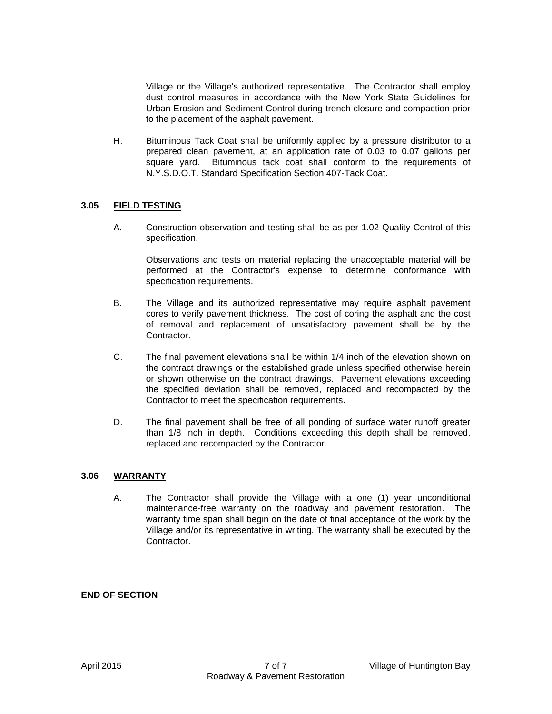Village or the Village's authorized representative. The Contractor shall employ dust control measures in accordance with the New York State Guidelines for Urban Erosion and Sediment Control during trench closure and compaction prior to the placement of the asphalt pavement.

 H. Bituminous Tack Coat shall be uniformly applied by a pressure distributor to a prepared clean pavement, at an application rate of 0.03 to 0.07 gallons per square yard. Bituminous tack coat shall conform to the requirements of N.Y.S.D.O.T. Standard Specification Section 407-Tack Coat.

#### **3.05 FIELD TESTING**

 A. Construction observation and testing shall be as per 1.02 Quality Control of this specification.

 Observations and tests on material replacing the unacceptable material will be performed at the Contractor's expense to determine conformance with specification requirements.

- B. The Village and its authorized representative may require asphalt pavement cores to verify pavement thickness. The cost of coring the asphalt and the cost of removal and replacement of unsatisfactory pavement shall be by the Contractor.
- C. The final pavement elevations shall be within 1/4 inch of the elevation shown on the contract drawings or the established grade unless specified otherwise herein or shown otherwise on the contract drawings. Pavement elevations exceeding the specified deviation shall be removed, replaced and recompacted by the Contractor to meet the specification requirements.
- D. The final pavement shall be free of all ponding of surface water runoff greater than 1/8 inch in depth. Conditions exceeding this depth shall be removed, replaced and recompacted by the Contractor.

#### **3.06 WARRANTY**

 A. The Contractor shall provide the Village with a one (1) year unconditional maintenance-free warranty on the roadway and pavement restoration. The warranty time span shall begin on the date of final acceptance of the work by the Village and/or its representative in writing. The warranty shall be executed by the Contractor.

## **END OF SECTION**